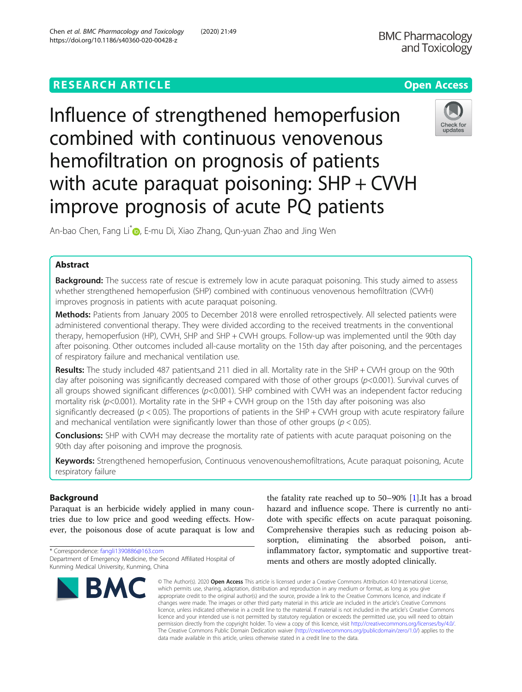Chen et al. BMC Pharmacology and Toxicology (2020) 21:49

# **RESEARCH ARTICLE Example 2014 12:30 The Open Access**

Influence of strengthened hemoperfusion combined with continuous venovenous hemofiltration on prognosis of patients with acute paraquat poisoning: SHP + CVVH improve prognosis of acute PQ patients



An-bao Chen[,](http://orcid.org/0000-0001-8779-0516) Fang Li<sup>\*</sup> , E-mu Di, Xiao Zhang, Qun-yuan Zhao and Jing Wen

# Abstract

**Background:** The success rate of rescue is extremely low in acute paraquat poisoning. This study aimed to assess whether strengthened hemoperfusion (SHP) combined with continuous venovenous hemofiltration (CVVH) improves prognosis in patients with acute paraquat poisoning.

Methods: Patients from January 2005 to December 2018 were enrolled retrospectively. All selected patients were administered conventional therapy. They were divided according to the received treatments in the conventional therapy, hemoperfusion (HP), CVVH, SHP and SHP + CVVH groups. Follow-up was implemented until the 90th day after poisoning. Other outcomes included all-cause mortality on the 15th day after poisoning, and the percentages of respiratory failure and mechanical ventilation use.

Results: The study included 487 patients,and 211 died in all. Mortality rate in the SHP + CWH group on the 90th day after poisoning was significantly decreased compared with those of other groups ( $p$ <0.001). Survival curves of all groups showed significant differences (p<0.001). SHP combined with CVVH was an independent factor reducing mortality risk ( $p$ <0.001). Mortality rate in the SHP + CWH group on the 15th day after poisoning was also significantly decreased ( $p < 0.05$ ). The proportions of patients in the SHP + CWH group with acute respiratory failure and mechanical ventilation were significantly lower than those of other groups ( $p < 0.05$ ).

**Conclusions:** SHP with CVVH may decrease the mortality rate of patients with acute paraquat poisoning on the 90th day after poisoning and improve the prognosis.

Keywords: Strengthened hemoperfusion, Continuous venovenoushemofiltrations, Acute paraquat poisoning, Acute respiratory failure

# Background

Paraquat is an herbicide widely applied in many countries due to low price and good weeding effects. However, the poisonous dose of acute paraquat is low and

<sup>\*</sup> Correspondence: [fangli1390886@163.com](mailto:fangli1390886@163.com) Department of Emergency Medicine, the Second Affiliated Hospital of Kunming Medical University, Kunming, China



the fatality rate reached up to 50–90% [\[1](#page-7-0)].It has a broad hazard and influence scope. There is currently no antidote with specific effects on acute paraquat poisoning. Comprehensive therapies such as reducing poison absorption, eliminating the absorbed poison, antiinflammatory factor, symptomatic and supportive treatments and others are mostly adopted clinically.

© The Author(s), 2020 **Open Access** This article is licensed under a Creative Commons Attribution 4.0 International License, which permits use, sharing, adaptation, distribution and reproduction in any medium or format, as long as you give appropriate credit to the original author(s) and the source, provide a link to the Creative Commons licence, and indicate if changes were made. The images or other third party material in this article are included in the article's Creative Commons licence, unless indicated otherwise in a credit line to the material. If material is not included in the article's Creative Commons licence and your intended use is not permitted by statutory regulation or exceeds the permitted use, you will need to obtain permission directly from the copyright holder. To view a copy of this licence, visit [http://creativecommons.org/licenses/by/4.0/.](http://creativecommons.org/licenses/by/4.0/) The Creative Commons Public Domain Dedication waiver [\(http://creativecommons.org/publicdomain/zero/1.0/](http://creativecommons.org/publicdomain/zero/1.0/)) applies to the data made available in this article, unless otherwise stated in a credit line to the data.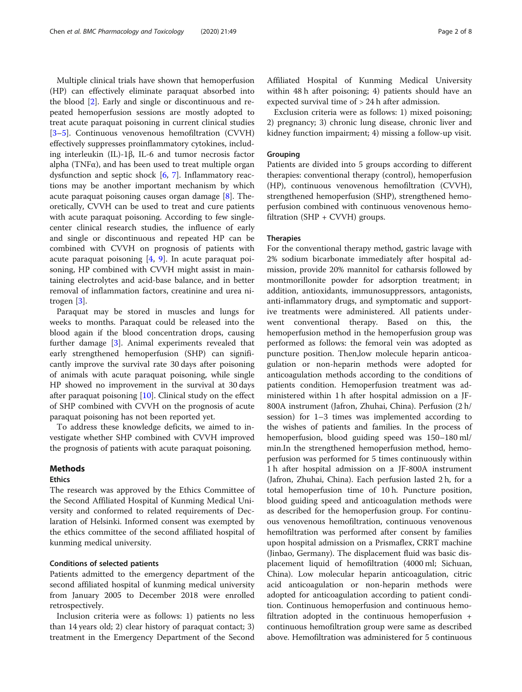Multiple clinical trials have shown that hemoperfusion (HP) can effectively eliminate paraquat absorbed into the blood [\[2](#page-7-0)]. Early and single or discontinuous and repeated hemoperfusion sessions are mostly adopted to treat acute paraquat poisoning in current clinical studies [[3](#page-7-0)–[5\]](#page-7-0). Continuous venovenous hemofiltration (CVVH) effectively suppresses proinflammatory cytokines, including interleukin (IL)-1β, IL-6 and tumor necrosis factor alpha (TNF $\alpha$ ), and has been used to treat multiple organ dysfunction and septic shock [\[6](#page-7-0), [7](#page-7-0)]. Inflammatory reactions may be another important mechanism by which acute paraquat poisoning causes organ damage [\[8](#page-7-0)]. Theoretically, CVVH can be used to treat and cure patients with acute paraquat poisoning. According to few singlecenter clinical research studies, the influence of early and single or discontinuous and repeated HP can be combined with CVVH on prognosis of patients with acute paraquat poisoning  $[4, 9]$  $[4, 9]$  $[4, 9]$  $[4, 9]$ . In acute paraquat poisoning, HP combined with CVVH might assist in maintaining electrolytes and acid-base balance, and in better removal of inflammation factors, creatinine and urea nitrogen [\[3](#page-7-0)].

Paraquat may be stored in muscles and lungs for weeks to months. Paraquat could be released into the blood again if the blood concentration drops, causing further damage [[3\]](#page-7-0). Animal experiments revealed that early strengthened hemoperfusion (SHP) can significantly improve the survival rate 30 days after poisoning of animals with acute paraquat poisoning, while single HP showed no improvement in the survival at 30 days after paraquat poisoning [[10](#page-7-0)]. Clinical study on the effect of SHP combined with CVVH on the prognosis of acute paraquat poisoning has not been reported yet.

To address these knowledge deficits, we aimed to investigate whether SHP combined with CVVH improved the prognosis of patients with acute paraquat poisoning.

## **Methods**

### **Ethics**

The research was approved by the Ethics Committee of the Second Affiliated Hospital of Kunming Medical University and conformed to related requirements of Declaration of Helsinki. Informed consent was exempted by the ethics committee of the second affiliated hospital of kunming medical university.

### Conditions of selected patients

Patients admitted to the emergency department of the second affiliated hospital of kunming medical university from January 2005 to December 2018 were enrolled retrospectively.

Inclusion criteria were as follows: 1) patients no less than 14 years old; 2) clear history of paraquat contact; 3) treatment in the Emergency Department of the Second

Affiliated Hospital of Kunming Medical University within 48 h after poisoning; 4) patients should have an expected survival time of > 24 h after admission.

Exclusion criteria were as follows: 1) mixed poisoning; 2) pregnancy; 3) chronic lung disease, chronic liver and kidney function impairment; 4) missing a follow-up visit.

### Grouping

Patients are divided into 5 groups according to different therapies: conventional therapy (control), hemoperfusion (HP), continuous venovenous hemofiltration (CVVH), strengthened hemoperfusion (SHP), strengthened hemoperfusion combined with continuous venovenous hemofiltration  $(SHP + CVVH)$  groups.

#### Therapies

For the conventional therapy method, gastric lavage with 2% sodium bicarbonate immediately after hospital admission, provide 20% mannitol for catharsis followed by montmorillonite powder for adsorption treatment; in addition, antioxidants, immunosuppressors, antagonists, anti-inflammatory drugs, and symptomatic and supportive treatments were administered. All patients underwent conventional therapy. Based on this, the hemoperfusion method in the hemoperfusion group was performed as follows: the femoral vein was adopted as puncture position. Then,low molecule heparin anticoagulation or non-heparin methods were adopted for anticoagulation methods according to the conditions of patients condition. Hemoperfusion treatment was administered within 1 h after hospital admission on a JF-800A instrument (Jafron, Zhuhai, China). Perfusion (2 h/ session) for 1–3 times was implemented according to the wishes of patients and families. In the process of hemoperfusion, blood guiding speed was 150–180 ml/ min.In the strengthened hemoperfusion method, hemoperfusion was performed for 5 times continuously within 1 h after hospital admission on a JF-800A instrument (Jafron, Zhuhai, China). Each perfusion lasted 2 h, for a total hemoperfusion time of 10 h. Puncture position, blood guiding speed and anticoagulation methods were as described for the hemoperfusion group. For continuous venovenous hemofiltration, continuous venovenous hemofiltration was performed after consent by families upon hospital admission on a Prismaflex, CRRT machine (Jinbao, Germany). The displacement fluid was basic displacement liquid of hemofiltration (4000 ml; Sichuan, China). Low molecular heparin anticoagulation, citric acid anticoagulation or non-heparin methods were adopted for anticoagulation according to patient condition. Continuous hemoperfusion and continuous hemofiltration adopted in the continuous hemoperfusion + continuous hemofiltration group were same as described above. Hemofiltration was administered for 5 continuous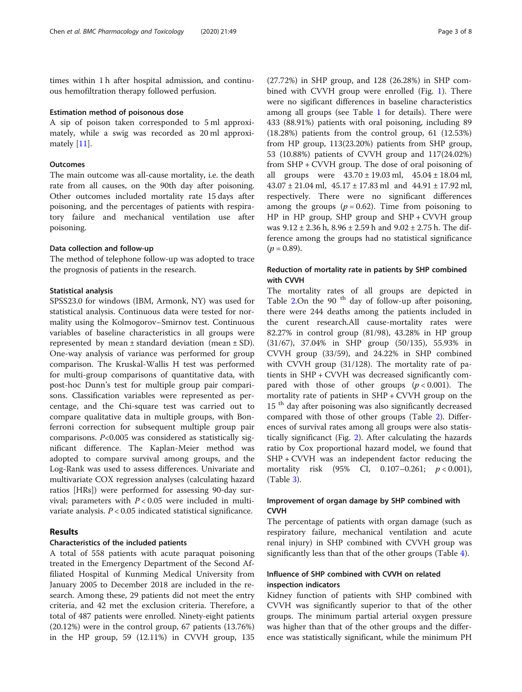times within 1 h after hospital admission, and continuous hemofiltration therapy followed perfusion.

#### Estimation method of poisonous dose

A sip of poison taken corresponded to 5 ml approximately, while a swig was recorded as 20 ml approximately [[11\]](#page-7-0).

### **Outcomes**

The main outcome was all-cause mortality, i.e. the death rate from all causes, on the 90th day after poisoning. Other outcomes included mortality rate 15 days after poisoning, and the percentages of patients with respiratory failure and mechanical ventilation use after poisoning.

### Data collection and follow-up

The method of telephone follow-up was adopted to trace the prognosis of patients in the research.

### Statistical analysis

SPSS23.0 for windows (IBM, Armonk, NY) was used for statistical analysis. Continuous data were tested for normality using the Kolmogorov–Smirnov test. Continuous variables of baseline characteristics in all groups were represented by mean  $\pm$  standard deviation (mean  $\pm$  SD). One-way analysis of variance was performed for group comparison. The Kruskal-Wallis H test was performed for multi-group comparisons of quantitative data, with post-hoc Dunn's test for multiple group pair comparisons. Classification variables were represented as percentage, and the Chi-square test was carried out to compare qualitative data in multiple groups, with Bonferroni correction for subsequent multiple group pair comparisons. P<0.005 was considered as statistically significant difference. The Kaplan-Meier method was adopted to compare survival among groups, and the Log-Rank was used to assess differences. Univariate and multivariate COX regression analyses (calculating hazard ratios [HRs]) were performed for assessing 90-day survival; parameters with  $P < 0.05$  were included in multivariate analysis.  $P < 0.05$  indicated statistical significance.

### Results

#### Characteristics of the included patients

A total of 558 patients with acute paraquat poisoning treated in the Emergency Department of the Second Affiliated Hospital of Kunming Medical University from January 2005 to December 2018 are included in the research. Among these, 29 patients did not meet the entry criteria, and 42 met the exclusion criteria. Therefore, a total of 487 patients were enrolled. Ninety-eight patients (20.12%) were in the control group, 67 patients (13.76%) in the HP group, 59 (12.11%) in CVVH group, 135

(27.72%) in SHP group, and 128 (26.28%) in SHP combined with CVVH group were enrolled (Fig. [1](#page-3-0)). There were no sigificant differences in baseline characteristics among all groups (see Table [1](#page-3-0) for details). There were 433 (88.91%) patients with oral poisoning, including 89 (18.28%) patients from the control group, 61 (12.53%) from HP group, 113(23.20%) patients from SHP group, 53 (10.88%) patients of CVVH group and 117(24.02%) from SHP + CVVH group. The dose of oral poisoning of all groups were  $43.70 \pm 19.03$  ml,  $45.04 \pm 18.04$  ml, 43.07 ± 21.04 ml, 45.17 ± 17.83 ml and 44.91 ± 17.92 ml, respectively. There were no significant differences among the groups ( $p = 0.62$ ). Time from poisoning to HP in HP group, SHP group and SHP + CVVH group was 9.12 ± 2.36 h, 8.96 ± 2.59 h and 9.02 ± 2.75 h. The difference among the groups had no statistical significance  $(p = 0.89)$ .

# Reduction of mortality rate in patients by SHP combined with CVVH

The mortality rates of all groups are depicted in Table [2](#page-4-0).On the 90 $t$ <sup>th</sup> day of follow-up after poisoning, there were 244 deaths among the patients included in the curent research.All cause-mortality rates were 82.27% in control group (81/98), 43.28% in HP group (31/67), 37.04% in SHP group (50/135), 55.93% in CVVH group (33/59), and 24.22% in SHP combined with CVVH group (31/128). The mortality rate of patients in SHP + CVVH was decreased significantly compared with those of other groups  $(p < 0.001)$ . The mortality rate of patients in  $SHP + CVVH$  group on the 15<sup>th</sup> day after poisoning was also significantly decreased compared with those of other groups (Table [2](#page-4-0)). Differences of survival rates among all groups were also statistically significanct (Fig. [2](#page-4-0)). After calculating the hazards ratio by Cox proportional hazard model, we found that SHP + CVVH was an independent factor reducing the mortality risk  $(95\% \text{ CI}, 0.107-0.261; p < 0.001)$ , (Table [3\)](#page-5-0).

# Improvement of organ damage by SHP combined with CVVH

The percentage of patients with organ damage (such as respiratory failure, mechanical ventilation and acute renal injury) in SHP combined with CVVH group was significantly less than that of the other groups (Table [4](#page-5-0)).

# Influence of SHP combined with CVVH on related inspection indicators

Kidney function of patients with SHP combined with CVVH was significantly superior to that of the other groups. The minimum partial arterial oxygen pressure was higher than that of the other groups and the difference was statistically significant, while the minimum PH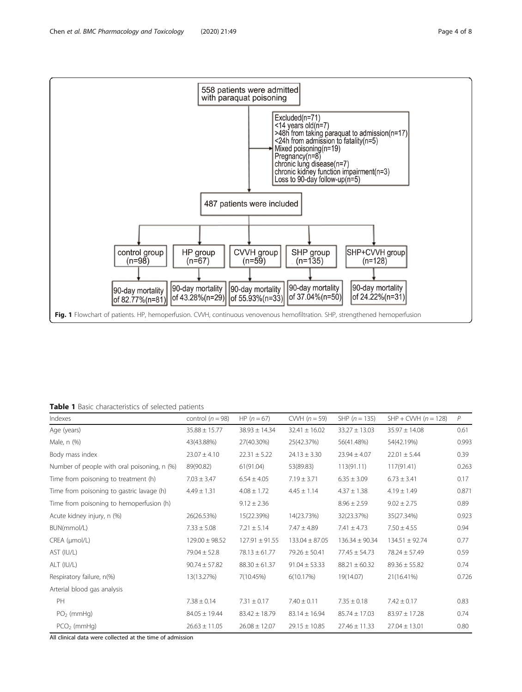<span id="page-3-0"></span>

### Table 1 Basic characteristics of selected patients

| Indexes                                     | control $(n = 98)$ | $HP (n = 67)$      | CWH $(n = 59)$     | SHP $(n = 135)$    | $SHP + CWH$ ( $n = 128$ ) | P     |
|---------------------------------------------|--------------------|--------------------|--------------------|--------------------|---------------------------|-------|
| Age (years)                                 | $35.88 \pm 15.77$  | $38.93 \pm 14.34$  | $32.41 \pm 16.02$  | $33.27 \pm 13.03$  | $35.97 \pm 14.08$         | 0.61  |
| Male, n (%)                                 | 43(43.88%)         | 27(40.30%)         | 25(42.37%)         | 56(41.48%)         | 54(42.19%)                | 0.993 |
| Body mass index                             | $23.07 \pm 4.10$   | $22.31 \pm 5.22$   | $24.13 \pm 3.30$   | $23.94 \pm 4.07$   | $22.01 \pm 5.44$          | 0.39  |
| Number of people with oral poisoning, n (%) | 89(90.82)          | 61(91.04)          | 53(89.83)          | 113(91.11)         | 117(91.41)                | 0.263 |
| Time from poisoning to treatment (h)        | $7.03 \pm 3.47$    | $6.54 \pm 4.05$    | $7.19 \pm 3.71$    | $6.35 \pm 3.09$    | $6.73 \pm 3.41$           | 0.17  |
| Time from poisoning to gastric lavage (h)   | $4.49 \pm 1.31$    | $4.08 \pm 1.72$    | $4.45 \pm 1.14$    | $4.37 \pm 1.38$    | $4.19 \pm 1.49$           | 0.871 |
| Time from poisoning to hemoperfusion (h)    |                    | $9.12 \pm 2.36$    |                    | $8.96 \pm 2.59$    | $9.02 \pm 2.75$           | 0.89  |
| Acute kidney injury, n (%)                  | 26(26.53%)         | 15(22.39%)         | 14(23.73%)         | 32(23.37%)         | 35(27.34%)                | 0.923 |
| BUN(mmol/L)                                 | $7.33 \pm 5.08$    | $7.21 \pm 5.14$    | $7.47 \pm 4.89$    | $7.41 \pm 4.73$    | $7.50 \pm 4.55$           | 0.94  |
| CREA (µmol/L)                               | $129.00 \pm 98.52$ | $127.91 \pm 91.55$ | $133.04 \pm 87.05$ | $136.34 \pm 90.34$ | $134.51 \pm 92.74$        | 0.77  |
| AST (IU/L)                                  | $79.04 \pm 52.8$   | $78.13 \pm 61.77$  | $79.26 \pm 50.41$  | $77.45 \pm 54.73$  | $78.24 \pm 57.49$         | 0.59  |
| ALT (IU/L)                                  | $90.74 \pm 57.82$  | $88.30 \pm 61.37$  | $91.04 \pm 53.33$  | $88.21 \pm 60.32$  | $89.36 \pm 55.82$         | 0.74  |
| Respiratory failure, n(%)                   | 13(13.27%)         | 7(10.45%)          | 6(10.17%)          | 19(14.07)          | 21(16.41%)                | 0.726 |
| Arterial blood gas analysis                 |                    |                    |                    |                    |                           |       |
| PH                                          | $7.38 \pm 0.14$    | $7.31 \pm 0.17$    | $7.40 \pm 0.11$    | $7.35 \pm 0.18$    | $7.42 \pm 0.17$           | 0.83  |
| $PO2$ (mmHg)                                | $84.05 \pm 19.44$  | $83.42 \pm 18.79$  | $83.14 \pm 16.94$  | $85.74 \pm 17.03$  | $83.97 \pm 17.28$         | 0.74  |
| $PCO2$ (mmHg)                               | $26.63 \pm 11.05$  | $26.08 \pm 12.07$  | $29.15 \pm 10.85$  | $27.46 \pm 11.33$  | $27.04 \pm 13.01$         | 0.80  |

All clinical data were collected at the time of admission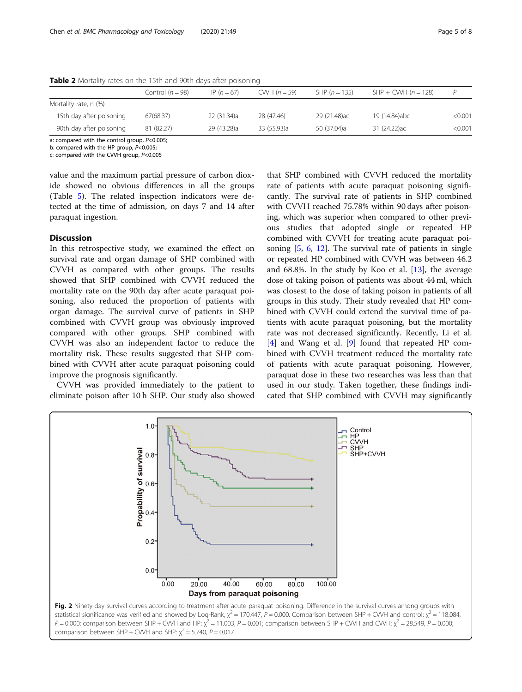|                          | Control ( $n = 98$ ) | HP $(n = 67)$ | CWH $(n = 59)$ | SHP $(n = 135)$ | $SHP + CWH (n = 128)$ |               |
|--------------------------|----------------------|---------------|----------------|-----------------|-----------------------|---------------|
| Mortality rate, n (%)    |                      |               |                |                 |                       |               |
| 15th day after poisoning | 67(68.37)            | 22 (31.34)a   | 28 (47.46)     | 29 (21.48)ac    | 19 (14.84)abc         | $<$ 0.001 $<$ |
| 90th day after poisoning | 81 (82.27)           | 29 (43.28)a   | 33 (55.93)a    | 50 (37.04)a     | 31 (24.22) ac         | < 0.001       |

<span id="page-4-0"></span>Table 2 Mortality rates on the 15th and 90th days after poisoning

a: compared with the control group, P<0.005;

b: compared with the HP group, P<0.005;

c: compared with the CVVH group, P<0.005

value and the maximum partial pressure of carbon dioxide showed no obvious differences in all the groups (Table [5](#page-6-0)). The related inspection indicators were detected at the time of admission, on days 7 and 14 after paraquat ingestion.

### **Discussion**

In this retrospective study, we examined the effect on survival rate and organ damage of SHP combined with CVVH as compared with other groups. The results showed that SHP combined with CVVH reduced the mortality rate on the 90th day after acute paraquat poisoning, also reduced the proportion of patients with organ damage. The survival curve of patients in SHP combined with CVVH group was obviously improved compared with other groups. SHP combined with CVVH was also an independent factor to reduce the mortality risk. These results suggested that SHP combined with CVVH after acute paraquat poisoning could improve the prognosis significantly.

CVVH was provided immediately to the patient to eliminate poison after 10 h SHP. Our study also showed

that SHP combined with CVVH reduced the mortality rate of patients with acute paraquat poisoning significantly. The survival rate of patients in SHP combined with CVVH reached 75.78% within 90 days after poisoning, which was superior when compared to other previous studies that adopted single or repeated HP combined with CVVH for treating acute paraquat poisoning [[5,](#page-7-0) [6,](#page-7-0) [12\]](#page-7-0). The survival rate of patients in single or repeated HP combined with CVVH was between 46.2 and 68.8%. In the study by Koo et al.  $[13]$  $[13]$ , the average dose of taking poison of patients was about 44 ml, which was closest to the dose of taking poison in patients of all groups in this study. Their study revealed that HP combined with CVVH could extend the survival time of patients with acute paraquat poisoning, but the mortality rate was not decreased significantly. Recently, Li et al. [[4\]](#page-7-0) and Wang et al. [\[9](#page-7-0)] found that repeated HP combined with CVVH treatment reduced the mortality rate of patients with acute paraquat poisoning. However, paraquat dose in these two researches was less than that used in our study. Taken together, these findings indicated that SHP combined with CVVH may significantly



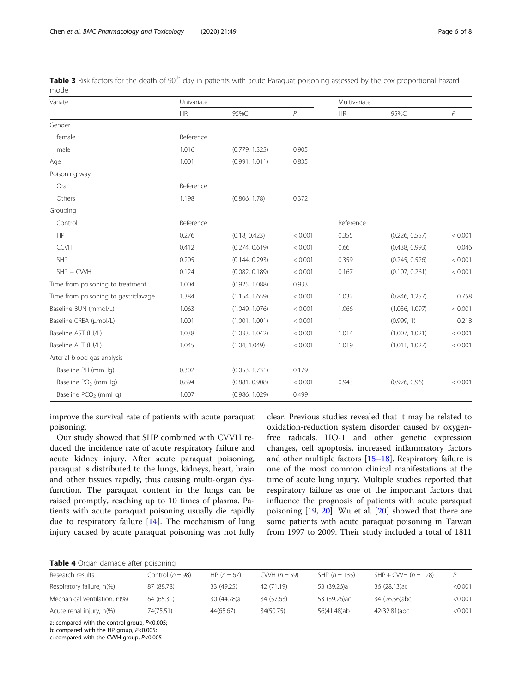| Variate                              | Univariate |                |                | Multivariate |                |              |
|--------------------------------------|------------|----------------|----------------|--------------|----------------|--------------|
|                                      | HR         | 95%CI          | $\overline{P}$ | <b>HR</b>    | 95%CI          | $\mathcal P$ |
| Gender                               |            |                |                |              |                |              |
| female                               | Reference  |                |                |              |                |              |
| male                                 | 1.016      | (0.779, 1.325) | 0.905          |              |                |              |
| Age                                  | 1.001      | (0.991, 1.011) | 0.835          |              |                |              |
| Poisoning way                        |            |                |                |              |                |              |
| Oral                                 | Reference  |                |                |              |                |              |
| Others                               | 1.198      | (0.806, 1.78)  | 0.372          |              |                |              |
| Grouping                             |            |                |                |              |                |              |
| Control                              | Reference  |                |                | Reference    |                |              |
| HP                                   | 0.276      | (0.18, 0.423)  | < 0.001        | 0.355        | (0.226, 0.557) | < 0.001      |
| <b>CCVH</b>                          | 0.412      | (0.274, 0.619) | < 0.001        | 0.66         | (0.438, 0.993) | 0.046        |
| SHP                                  | 0.205      | (0.144, 0.293) | < 0.001        | 0.359        | (0.245, 0.526) | < 0.001      |
| $SHP + CWH$                          | 0.124      | (0.082, 0.189) | < 0.001        | 0.167        | (0.107, 0.261) | < 0.001      |
| Time from poisoning to treatment     | 1.004      | (0.925, 1.088) | 0.933          |              |                |              |
| Time from poisoning to gastriclavage | 1.384      | (1.154, 1.659) | < 0.001        | 1.032        | (0.846, 1.257) | 0.758        |
| Baseline BUN (mmol/L)                | 1.063      | (1.049, 1.076) | < 0.001        | 1.066        | (1.036, 1.097) | < 0.001      |
| Baseline CREA (µmol/L)               | 1.001      | (1.001, 1.001) | < 0.001        | 1            | (0.999, 1)     | 0.218        |
| Baseline AST (IU/L)                  | 1.038      | (1.033, 1.042) | < 0.001        | 1.014        | (1.007, 1.021) | < 0.001      |
| Baseline ALT (IU/L)                  | 1.045      | (1.04, 1.049)  | < 0.001        | 1.019        | (1.011, 1.027) | < 0.001      |
| Arterial blood gas analysis          |            |                |                |              |                |              |
| Baseline PH (mmHg)                   | 0.302      | (0.053, 1.731) | 0.179          |              |                |              |
| Baseline PO <sub>2</sub> (mmHg)      | 0.894      | (0.881, 0.908) | < 0.001        | 0.943        | (0.926, 0.96)  | < 0.001      |
| Baseline PCO <sub>2</sub> (mmHg)     | 1.007      | (0.986, 1.029) | 0.499          |              |                |              |

<span id="page-5-0"></span>Table 3 Risk factors for the death of 90<sup>th</sup> day in patients with acute Paraquat poisoning assessed by the cox proportional hazard model

improve the survival rate of patients with acute paraquat poisoning.

Our study showed that SHP combined with CVVH reduced the incidence rate of acute respiratory failure and acute kidney injury. After acute paraquat poisoning, paraquat is distributed to the lungs, kidneys, heart, brain and other tissues rapidly, thus causing multi-organ dysfunction. The paraquat content in the lungs can be raised promptly, reaching up to 10 times of plasma. Patients with acute paraquat poisoning usually die rapidly due to respiratory failure [[14\]](#page-7-0). The mechanism of lung injury caused by acute paraquat poisoning was not fully clear. Previous studies revealed that it may be related to oxidation-reduction system disorder caused by oxygenfree radicals, HO-1 and other genetic expression changes, cell apoptosis, increased inflammatory factors and other multiple factors  $[15-18]$  $[15-18]$  $[15-18]$ . Respiratory failure is one of the most common clinical manifestations at the time of acute lung injury. Multiple studies reported that respiratory failure as one of the important factors that influence the prognosis of patients with acute paraquat poisoning [\[19](#page-7-0), [20\]](#page-7-0). Wu et al. [\[20](#page-7-0)] showed that there are some patients with acute paraquat poisoning in Taiwan from 1997 to 2009. Their study included a total of 1811

Table 4 Organ damage after poisoning

| Research results             | Control $(n = 98)$ | HP $(n = 67)$ | $CWH (n = 59)$ | SHP $(n = 135)$ | $SHP + CWH (n = 128)$ |         |
|------------------------------|--------------------|---------------|----------------|-----------------|-----------------------|---------|
| Respiratory failure, n(%)    | 87 (88.78)         | 33 (49.25)    | 42(71.19)      | 53 (39.26)a     | 36 (28.13) ac         | < 0.001 |
| Mechanical ventilation, n(%) | 64 (65.31)         | 30 (44.78)a   | 34 (57.63)     | 53 (39.26) ac   | 34 (26.56)abc         | < 0.001 |
| Acute renal injury, n(%)     | 74(75.51)          | 44(65.67)     | 34(50.75)      | 56(41.48)ab     | 42(32.81)abc          | < 0.001 |

a: compared with the control group, P<0.005;

b: compared with the HP group,  $P < 0.005$ ;

c: compared with the CVVH group, P<0.005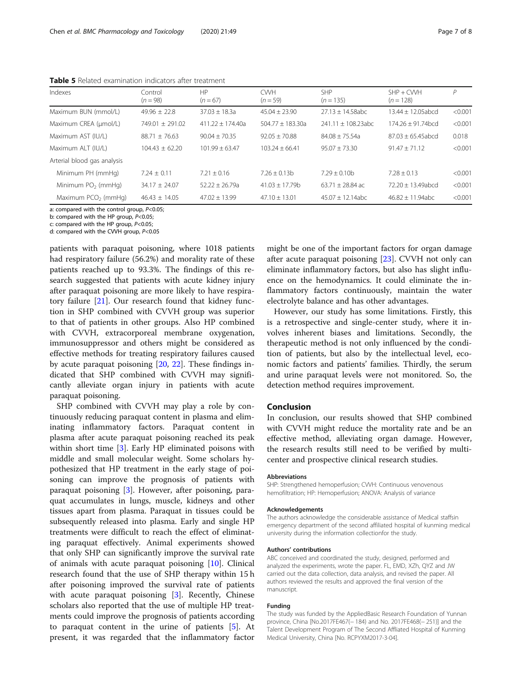| Indexes                     | Control<br>$(n = 98)$ | HP<br>$(n = 67)$   | <b>CWH</b><br>$(n = 59)$ | <b>SHP</b><br>$(n = 135)$ | $SHP + CWH$<br>$(n = 128)$ | Р       |
|-----------------------------|-----------------------|--------------------|--------------------------|---------------------------|----------------------------|---------|
| Maximum BUN (mmol/L)        | $49.96 + 22.8$        | $37.03 + 18.3a$    | $45.04 + 23.90$          | $27.13 + 14.58abc$        | $13.44 + 12.05$ abcd       | < 0.001 |
| Maximum CREA (µmol/L)       | $749.01 + 291.02$     | $411.22 + 174.40a$ | $504.77 + 183.30a$       | $241.11 + 108.23abc$      | $174.26 + 91.74$ bcd       | < 0.001 |
| Maximum AST (IU/L)          | $88.71 + 76.63$       | $90.04 + 70.35$    | $92.05 + 70.88$          | $84.08 + 75.54a$          | $87.03 + 65.45$ abcd       | 0.018   |
| Maximum ALT (IU/L)          | $104.43 + 62.20$      | $101.99 + 63.47$   | $103.24 + 66.41$         | $95.07 \pm 73.30$         | $91.47 + 71.12$            | < 0.001 |
| Arterial blood gas analysis |                       |                    |                          |                           |                            |         |
| Minimum PH (mmHg)           | $7.24 + 0.11$         | $7.21 + 0.16$      | $7.26 + 0.13b$           | $7.29 + 0.10b$            | $7.28 + 0.13$              | < 0.001 |
| Minimum $PO2$ (mmHg)        | $34.17 + 24.07$       | $52.22 + 26.79a$   | $41.03 + 17.79b$         | $63.71 + 28.84$ ac        | $72.20 + 13.49$ abcd       | < 0.001 |
| Maximum $PCO2$ (mmHg)       | $46.43 + 14.05$       | $47.02 + 13.99$    | $47.10 + 13.01$          | $45.07 + 12.14abc$        | $46.82 + 11.94abc$         | < 0.001 |

<span id="page-6-0"></span>Table 5 Related examination indicators after treatment

a: compared with the control group,  $P<0.05$ ;

b: compared with the HP group,  $P<0.05$ ;

c: compared with the HP group, P<0.05;

d: compared with the CVVH group, P<0.05

patients with paraquat poisoning, where 1018 patients had respiratory failure (56.2%) and morality rate of these patients reached up to 93.3%. The findings of this research suggested that patients with acute kidney injury after paraquat poisoning are more likely to have respiratory failure [[21](#page-7-0)]. Our research found that kidney function in SHP combined with CVVH group was superior to that of patients in other groups. Also HP combined with CVVH, extracorporeal membrane oxygenation, immunosuppressor and others might be considered as effective methods for treating respiratory failures caused by acute paraquat poisoning [[20,](#page-7-0) [22](#page-7-0)]. These findings indicated that SHP combined with CVVH may significantly alleviate organ injury in patients with acute paraquat poisoning.

SHP combined with CVVH may play a role by continuously reducing paraquat content in plasma and eliminating inflammatory factors. Paraquat content in plasma after acute paraquat poisoning reached its peak within short time [\[3](#page-7-0)]. Early HP eliminated poisons with middle and small molecular weight. Some scholars hypothesized that HP treatment in the early stage of poisoning can improve the prognosis of patients with paraquat poisoning [[3\]](#page-7-0). However, after poisoning, paraquat accumulates in lungs, muscle, kidneys and other tissues apart from plasma. Paraquat in tissues could be subsequently released into plasma. Early and single HP treatments were difficult to reach the effect of eliminating paraquat effectively. Animal experiments showed that only SHP can significantly improve the survival rate of animals with acute paraquat poisoning [\[10\]](#page-7-0). Clinical research found that the use of SHP therapy within 15 h after poisoning improved the survival rate of patients with acute paraquat poisoning [[3\]](#page-7-0). Recently, Chinese scholars also reported that the use of multiple HP treatments could improve the prognosis of patients according to paraquat content in the urine of patients [\[5](#page-7-0)]. At present, it was regarded that the inflammatory factor might be one of the important factors for organ damage after acute paraquat poisoning [\[23\]](#page-7-0). CVVH not only can eliminate inflammatory factors, but also has slight influence on the hemodynamics. It could eliminate the inflammatory factors continuously, maintain the water electrolyte balance and has other advantages.

However, our study has some limitations. Firstly, this is a retrospective and single-center study, where it involves inherent biases and limitations. Secondly, the therapeutic method is not only influenced by the condition of patients, but also by the intellectual level, economic factors and patients' families. Thirdly, the serum and urine paraquat levels were not monitored. So, the detection method requires improvement.

### Conclusion

In conclusion, our results showed that SHP combined with CVVH might reduce the mortality rate and be an effective method, alleviating organ damage. However, the research results still need to be verified by multicenter and prospective clinical research studies.

#### Abbreviations

SHP: Strengthened hemoperfusion; CVVH: Continuous venovenous hemofiltration; HP: Hemoperfusion; ANOVA: Analysis of variance

#### Acknowledgements

The authors acknowledge the considerable assistance of Medical staffsin emergency department of the second affiliated hospital of kunming medical university during the information collectionfor the study.

#### Authors' contributions

ABC conceived and coordinated the study, designed, performed and analyzed the experiments, wrote the paper. FL, EMD, XZh, QYZ and JW carried out the data collection, data analysis, and revised the paper. All authors reviewed the results and approved the final version of the manuscript.

#### Funding

The study was funded by the AppliedBasic Research Foundation of Yunnan province, China [No.2017FE467(− 184) and No. 2017FE468(− 251)] and the Talent Development Program of The Second Affliated Hospital of Kunming Medical University, China [No. RCPYXM2017-3-04].